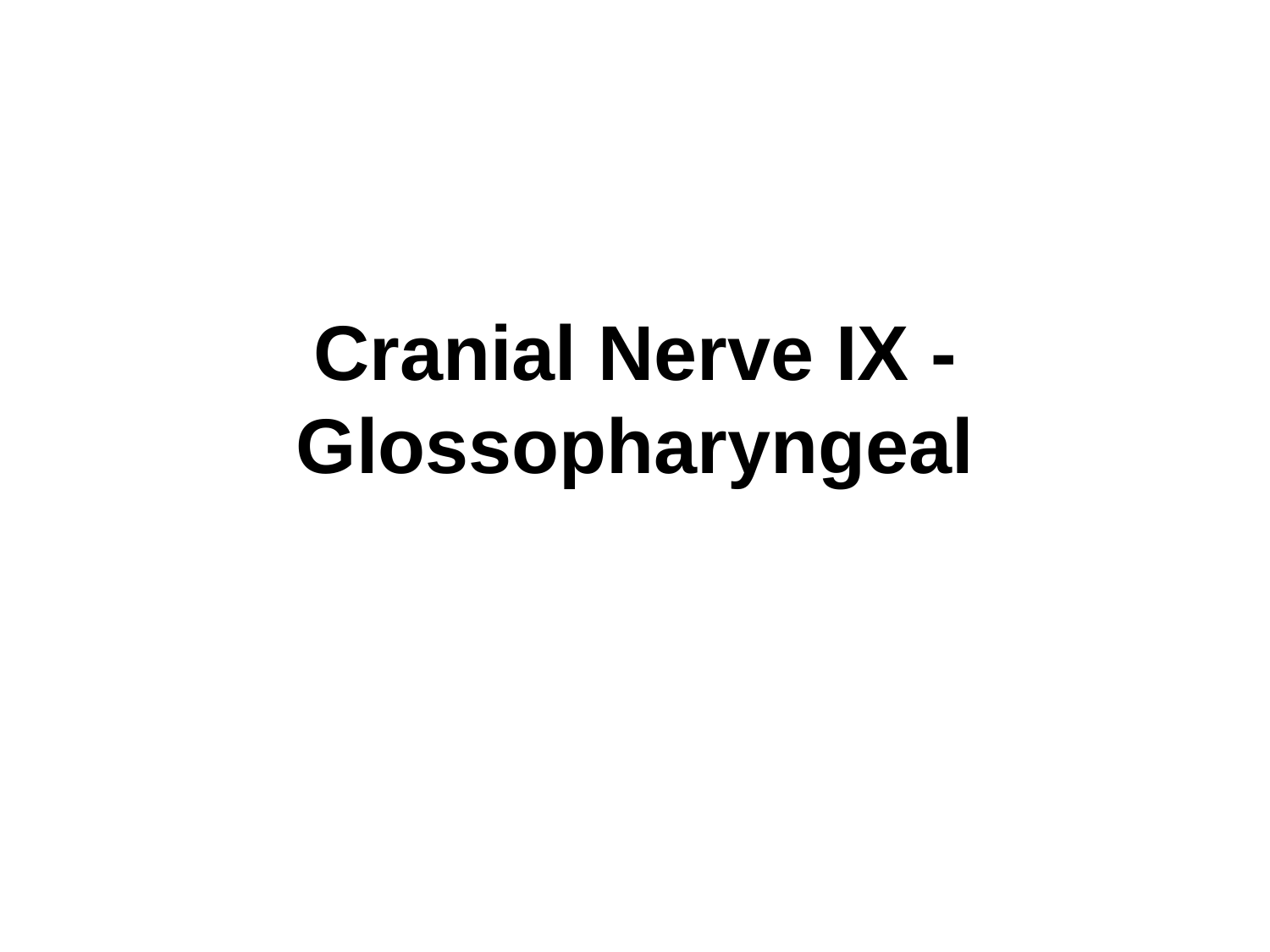# **Cranial Nerve IX - Glossopharyngeal**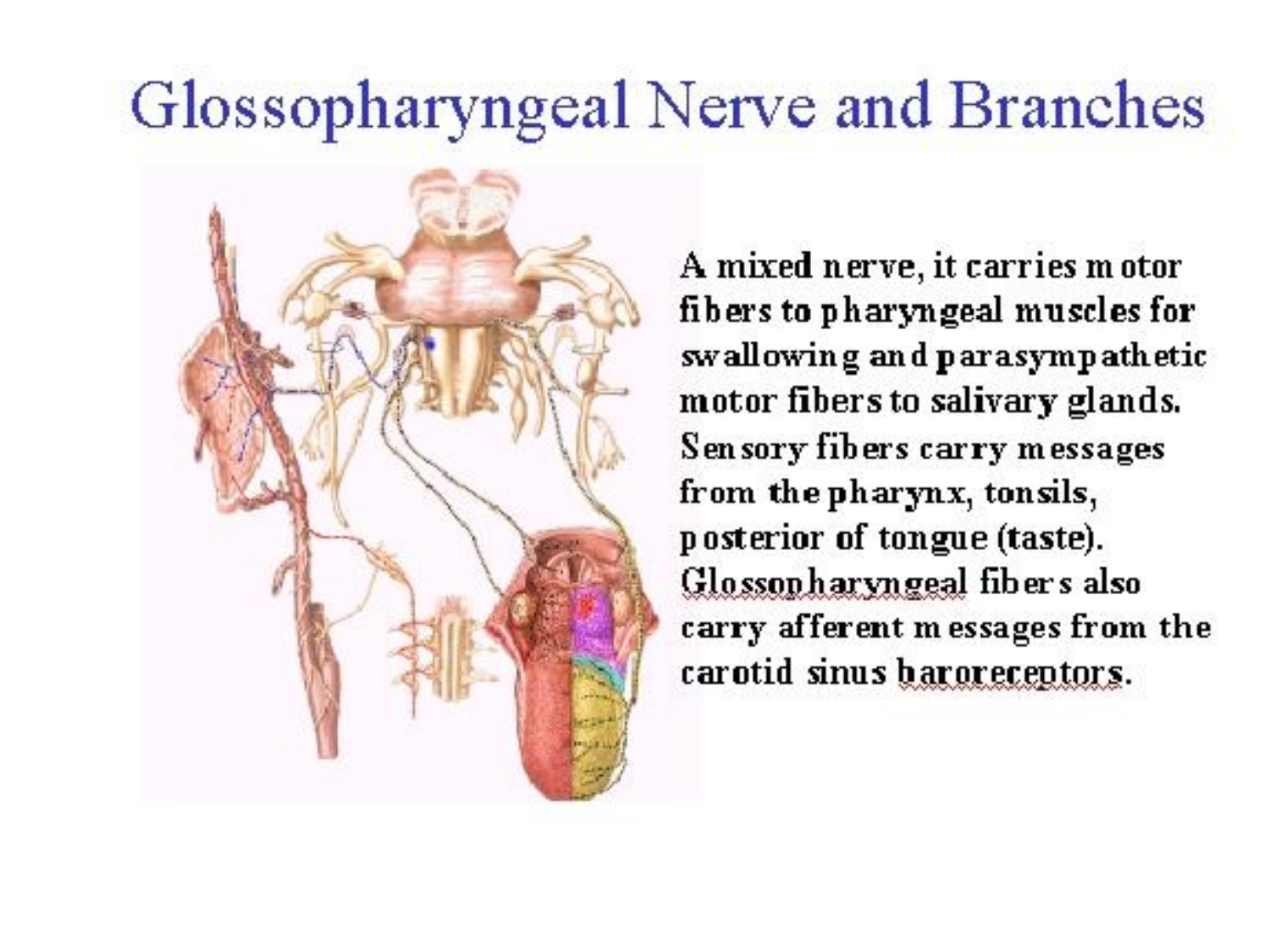### Glossopharyngeal Nerve and Branches



A mixed nerve, it carries motor fibers to pharyngeal muscles for swallowing and parasympathetic motor fibers to salivary glands. Sensory fibers carry messages from the pharynx, tonsils, posterior of tongue (taste). Glossopharyngeal fibers also carry afferent messages from the carotid sinus baroreceptors.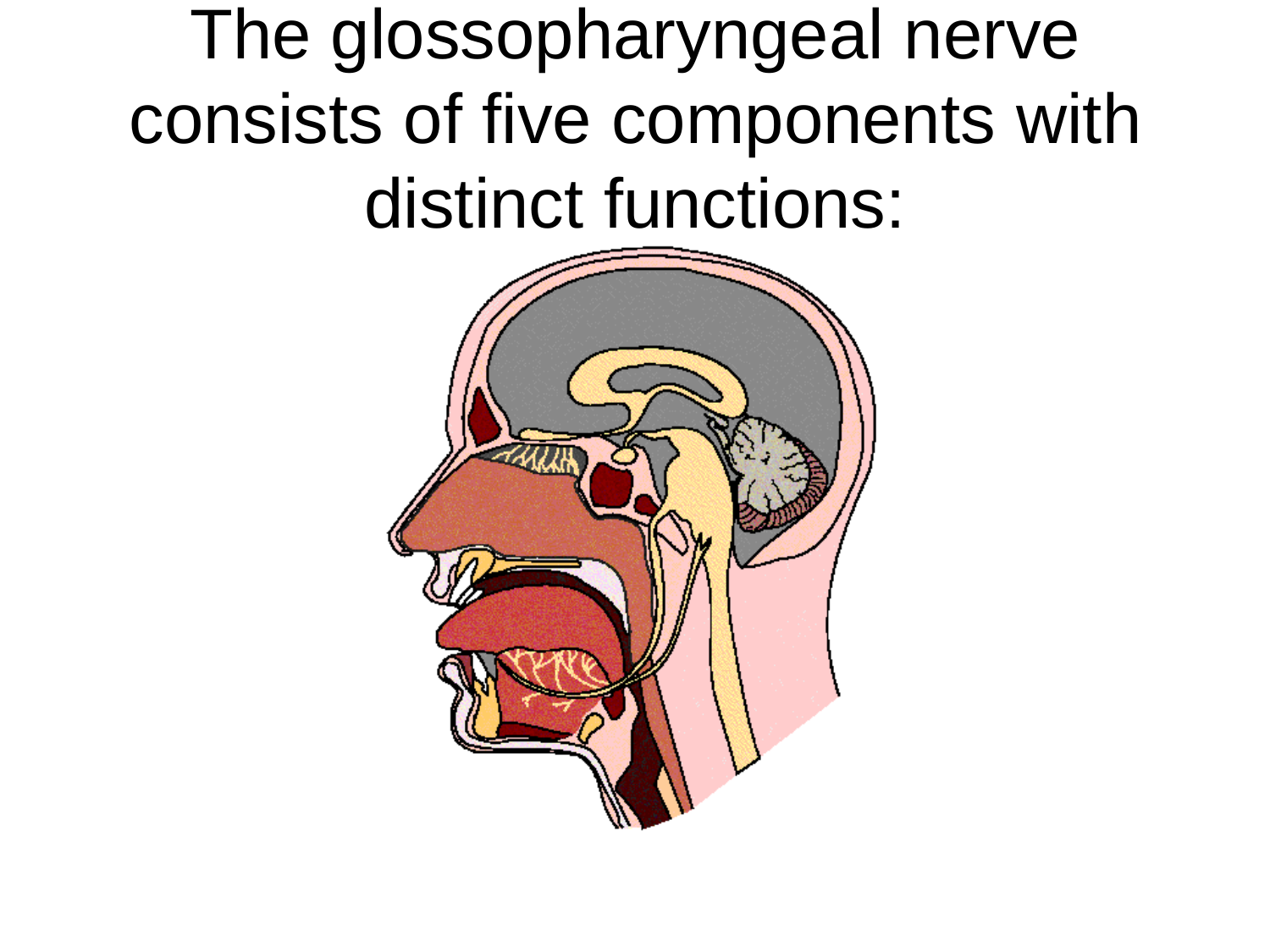The glossopharyngeal nerve consists of five components with distinct functions:

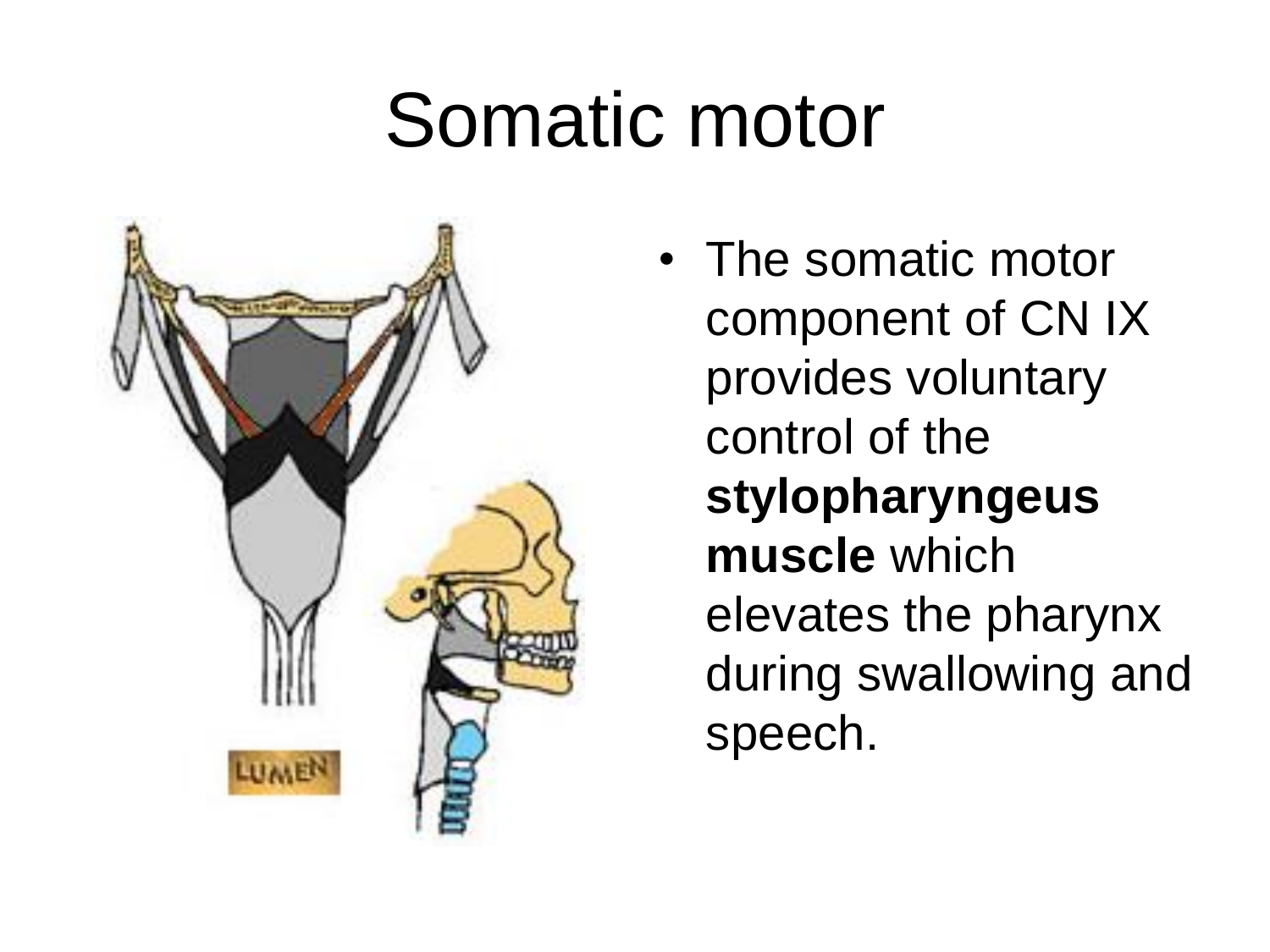# Somatic motor



• The somatic motor component of CN IX provides voluntary control of the **stylopharyngeus muscle** which elevates the pharynx during swallowing and speech.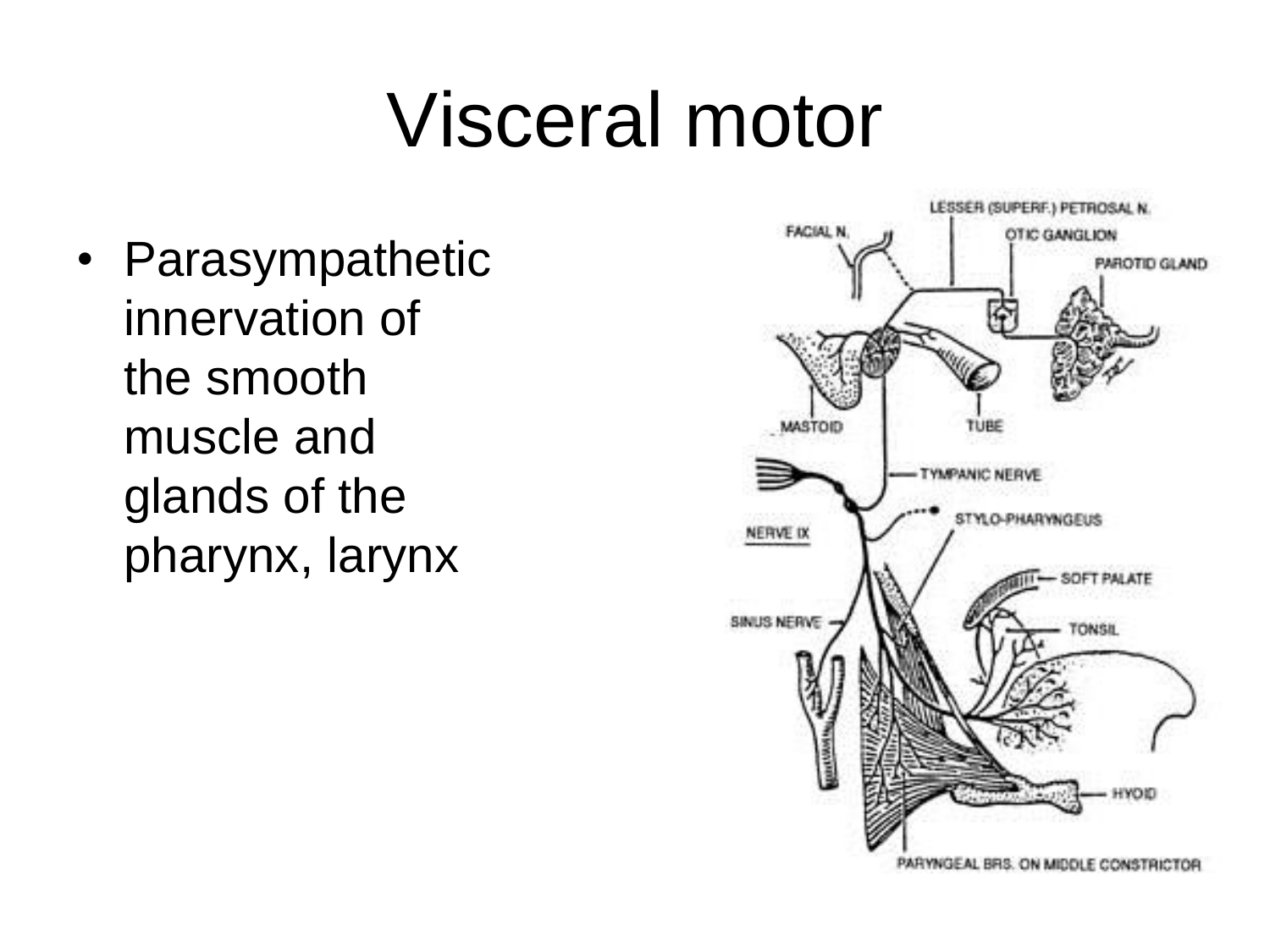# Visceral motor

• Parasympathetic innervation of the smooth muscle and glands of the pharynx, larynx

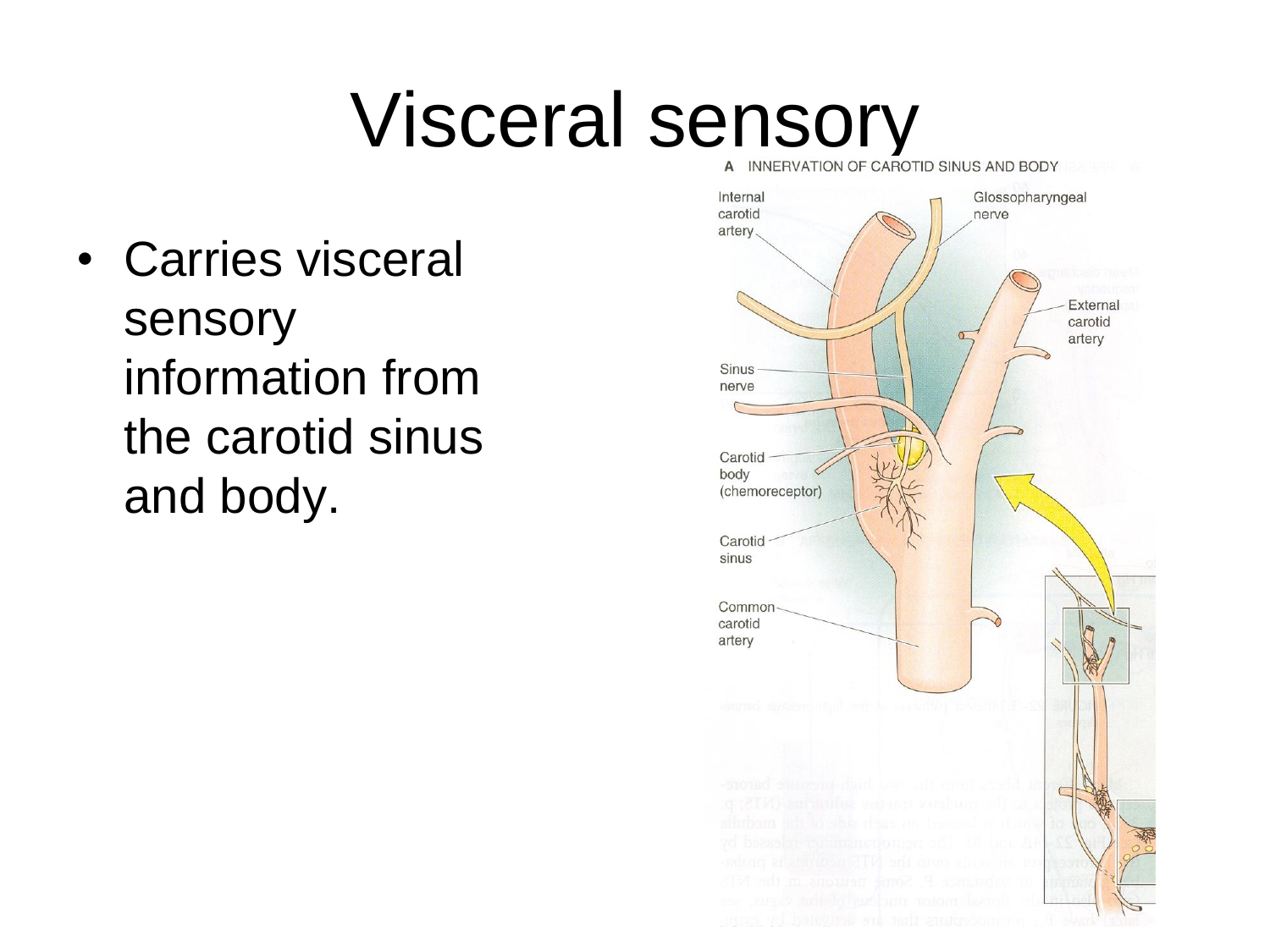# Visceral sensory

• Carries visceral sensory information from the carotid sinus and body.

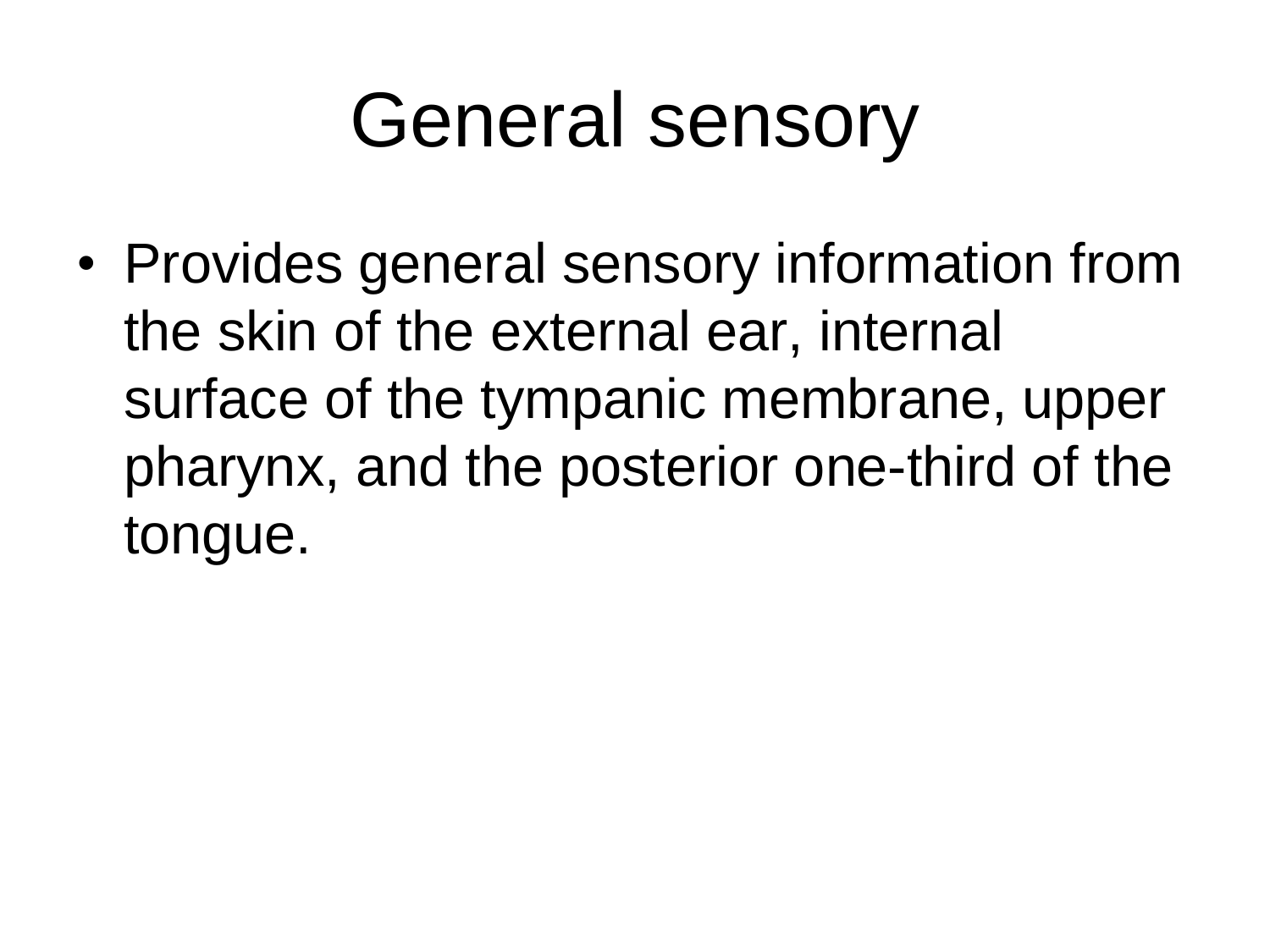# General sensory

• Provides general sensory information from the skin of the external ear, internal surface of the tympanic membrane, upper pharynx, and the posterior one-third of the tongue.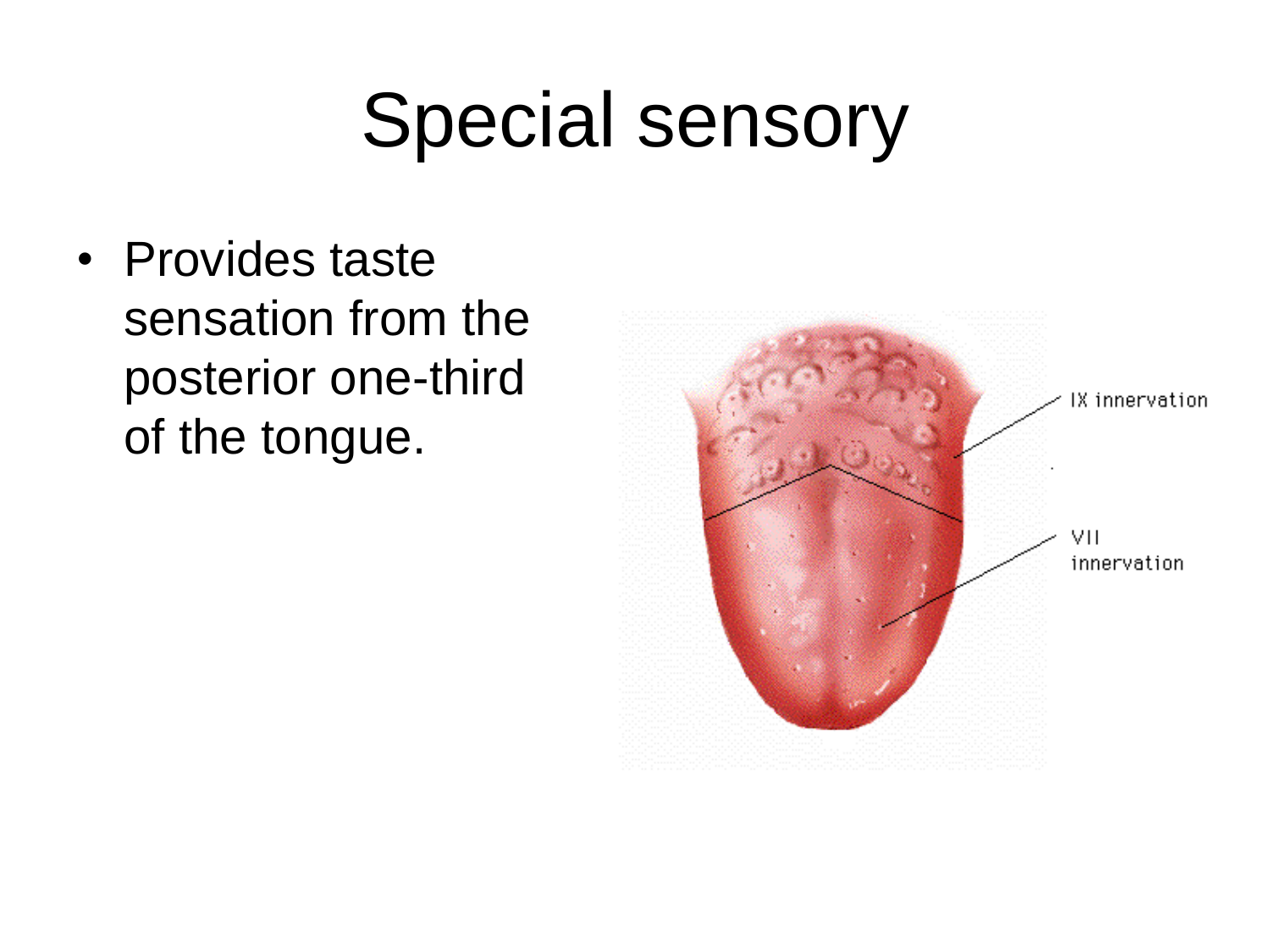# Special sensory

• Provides taste sensation from the posterior one-third of the tongue.

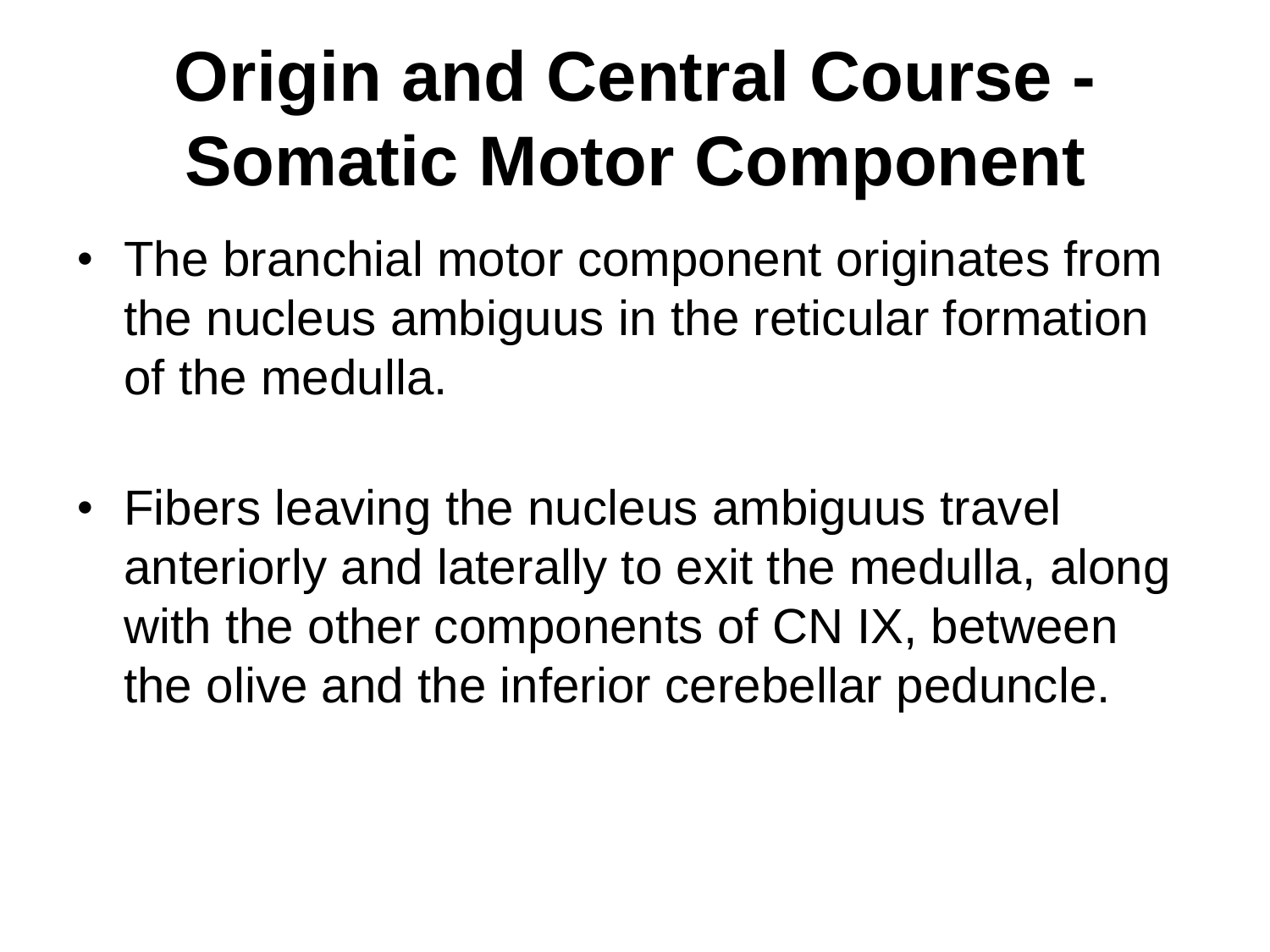# **Origin and Central Course - Somatic Motor Component**

- The branchial motor component originates from the nucleus ambiguus in the reticular formation of the medulla.
- Fibers leaving the nucleus ambiguus travel anteriorly and laterally to exit the medulla, along with the other components of CN IX, between the olive and the inferior cerebellar peduncle.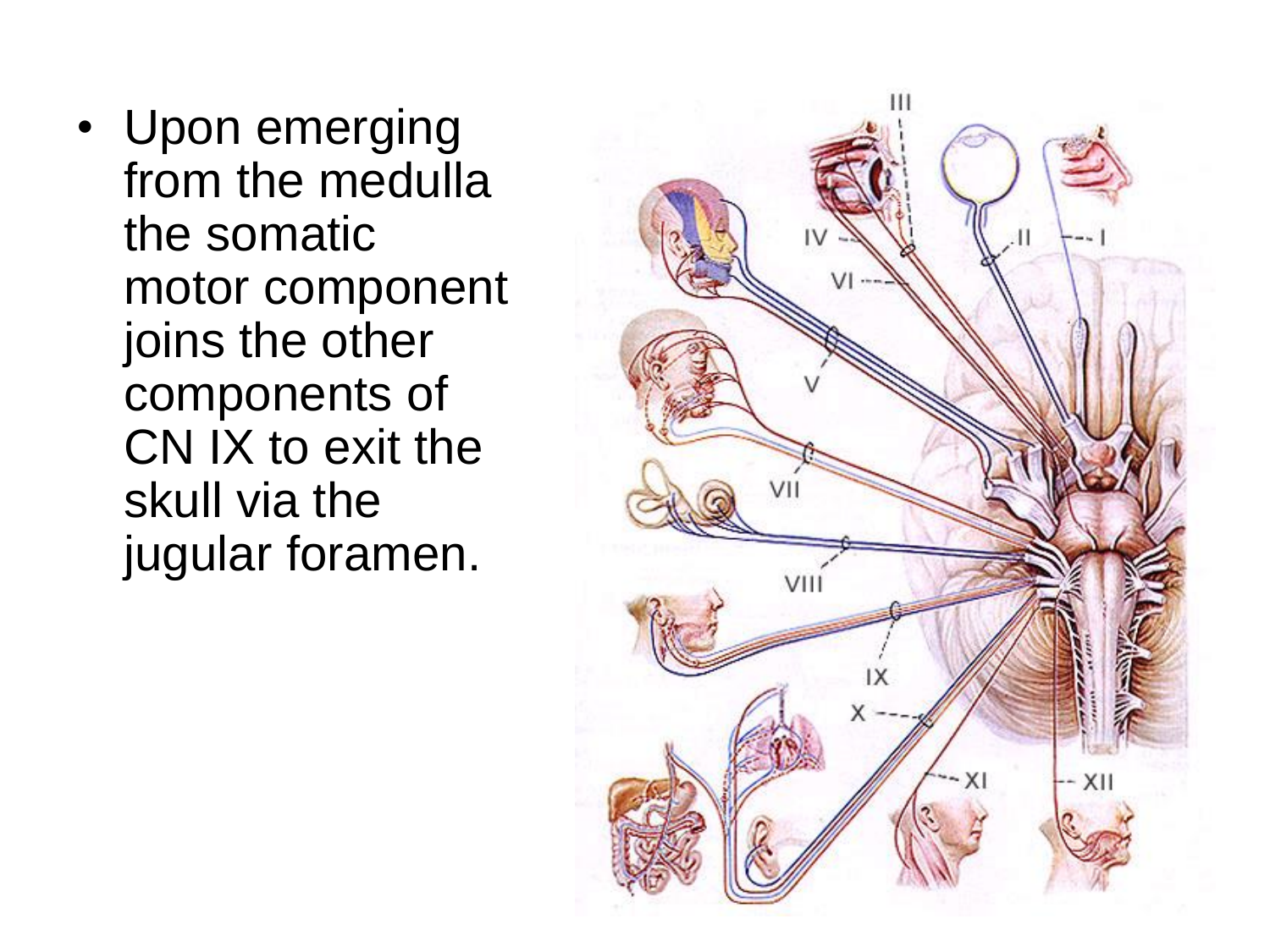• Upon emerging from the medulla the somatic motor component joins the other components of CN IX to exit the skull via the jugular foramen.

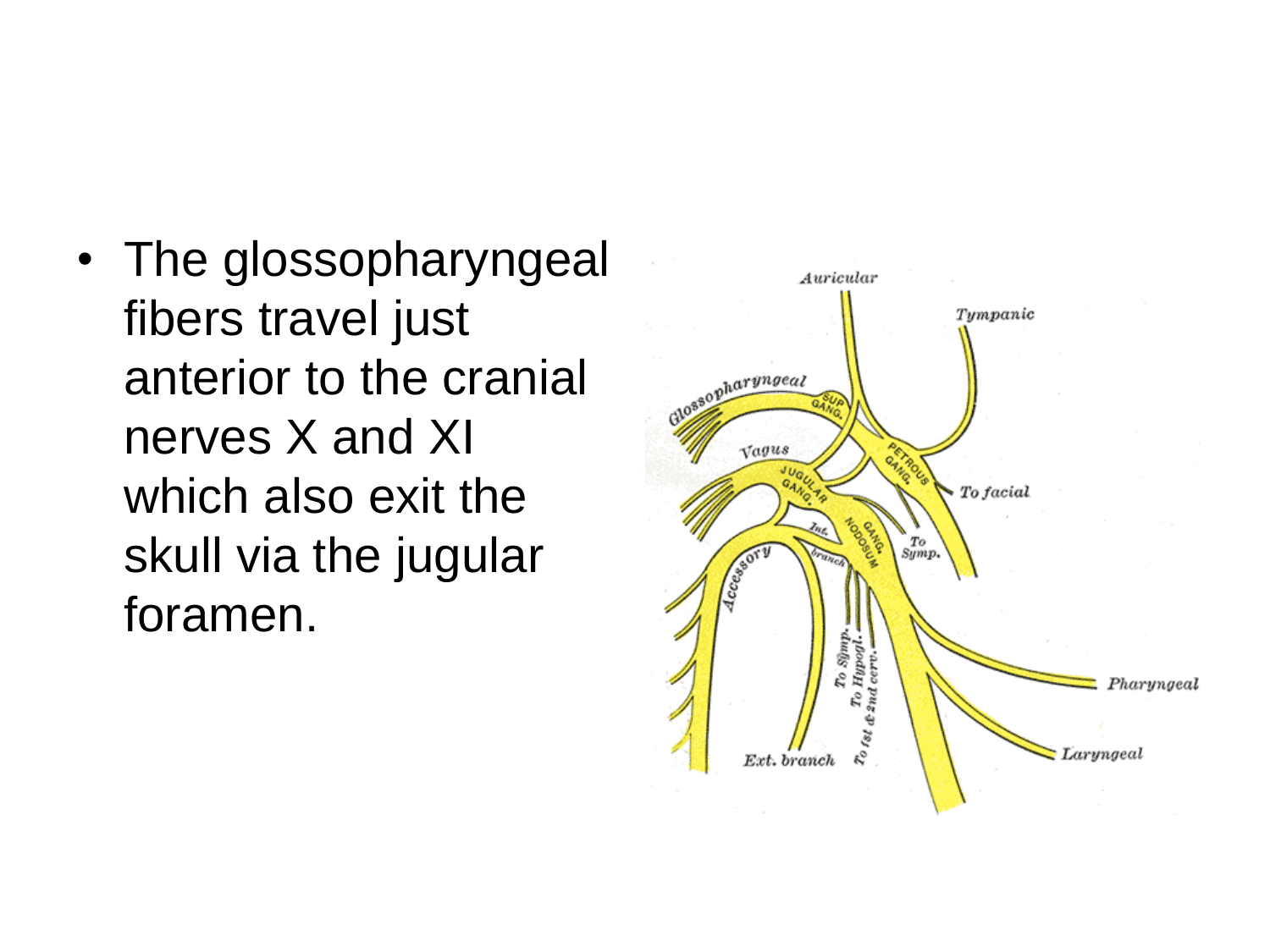• The glossopharyngeal fibers travel just anterior to the cranial nerves X and XI which also exit the skull via the jugular foramen.

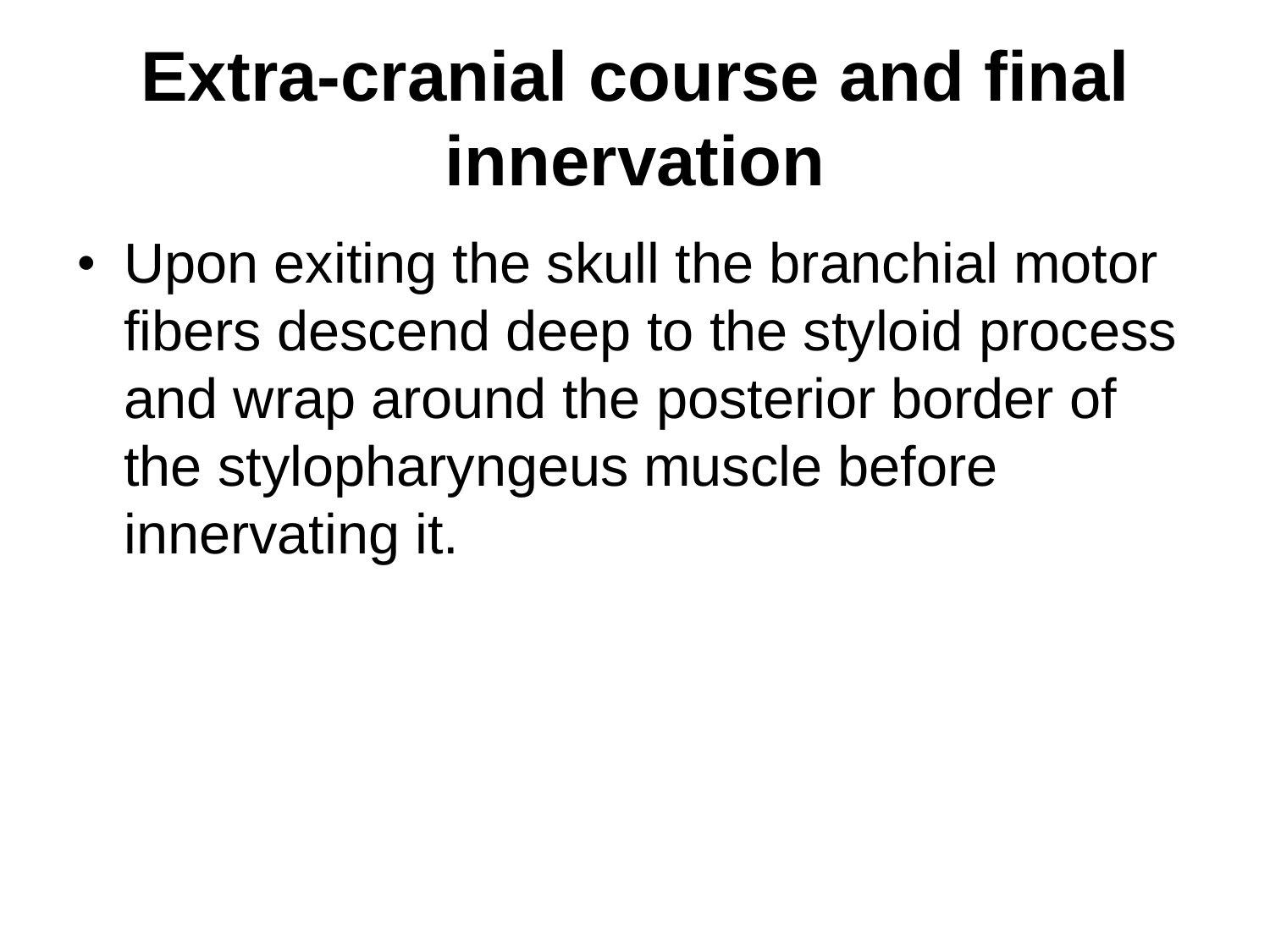### **Extra-cranial course and final innervation**

• Upon exiting the skull the branchial motor fibers descend deep to the styloid process and wrap around the posterior border of the stylopharyngeus muscle before innervating it.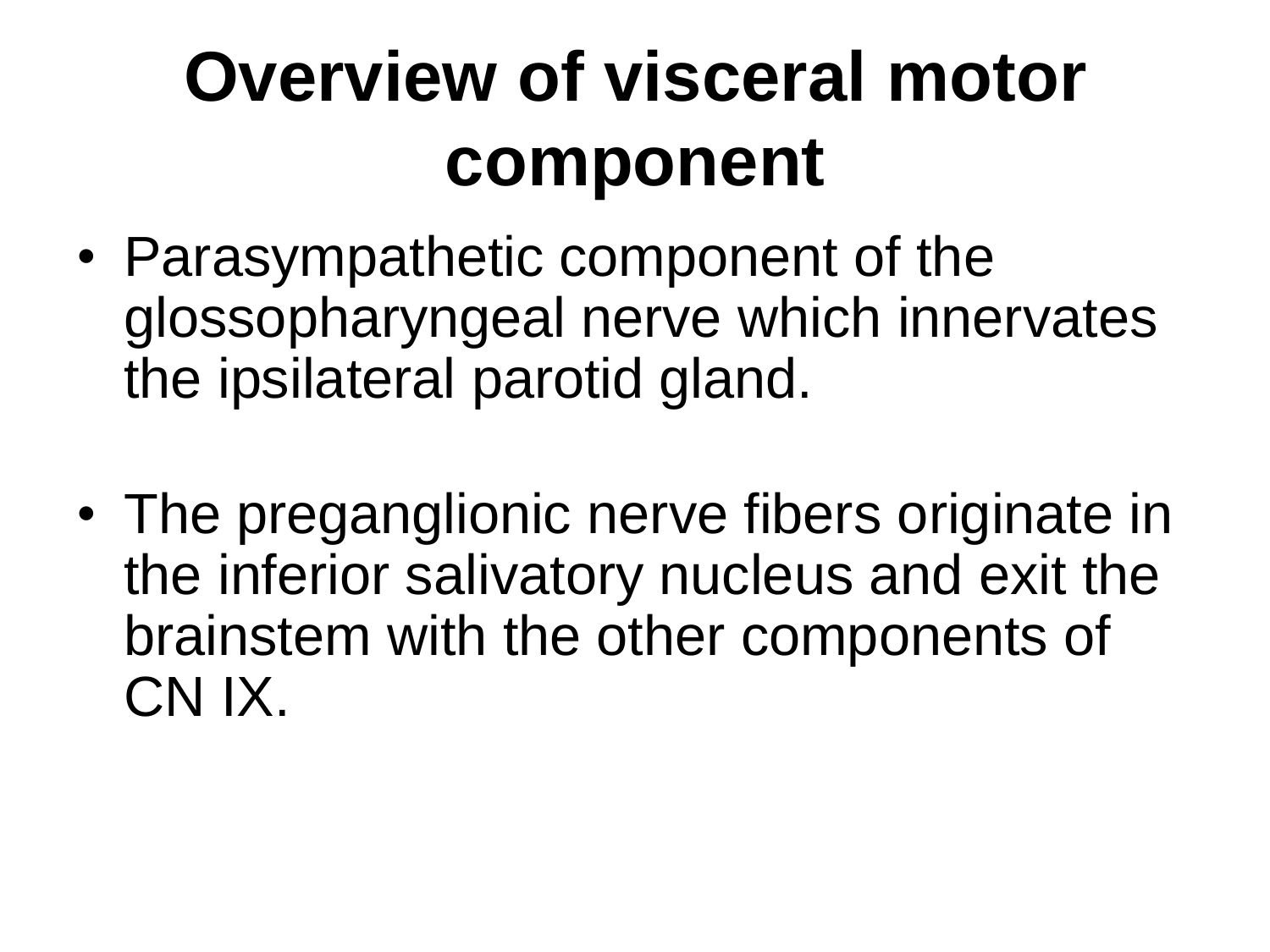# **Overview of visceral motor component**

- Parasympathetic component of the glossopharyngeal nerve which innervates the ipsilateral parotid gland.
- The preganglionic nerve fibers originate in the inferior salivatory nucleus and exit the brainstem with the other components of CN IX.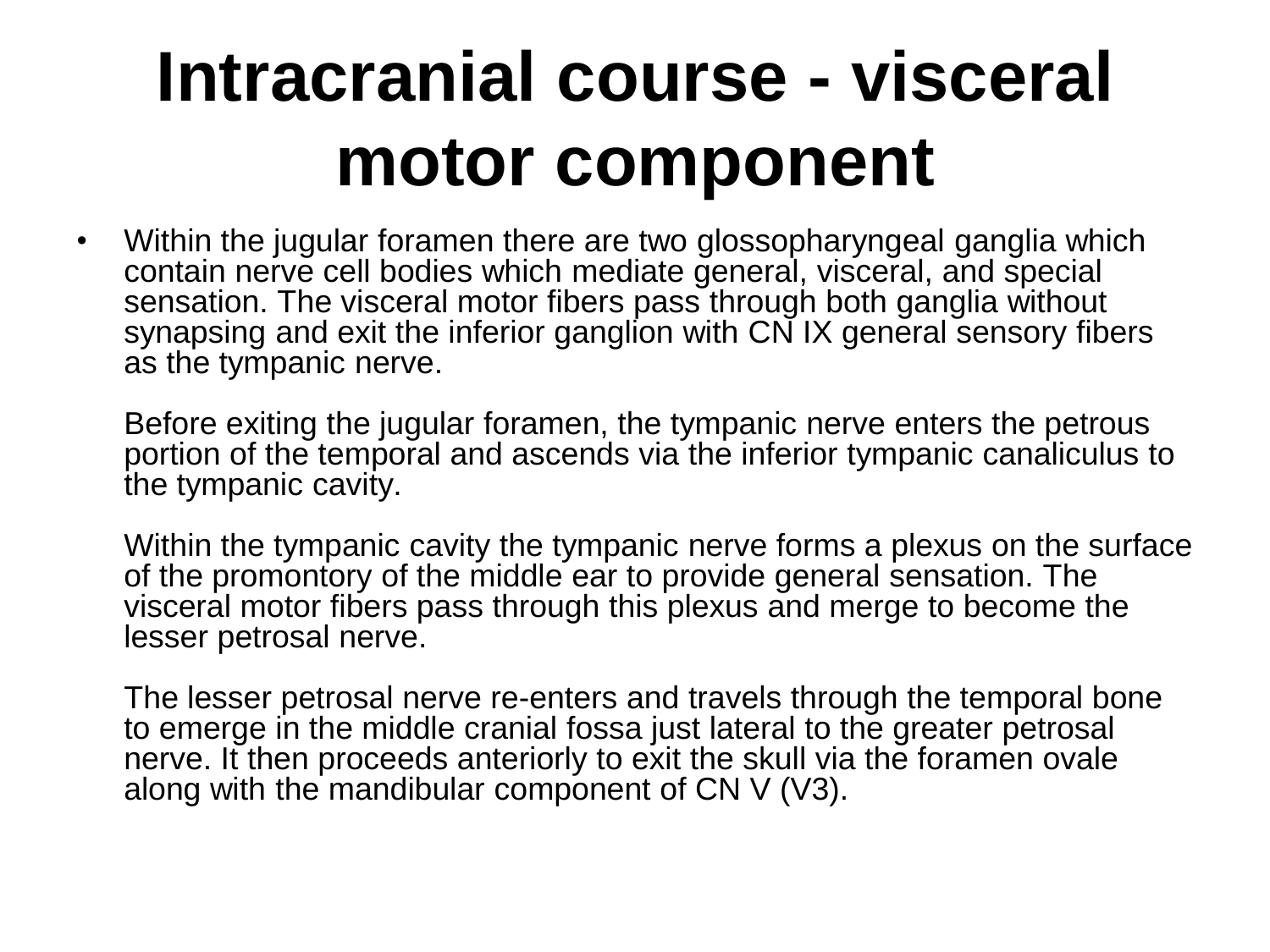## **Intracranial course - visceral motor component**

• Within the jugular foramen there are two glossopharyngeal ganglia which contain nerve cell bodies which mediate general, visceral, and special sensation. The visceral motor fibers pass through both ganglia without synapsing and exit the inferior ganglion with CN IX general sensory fibers as the tympanic nerve.

Before exiting the jugular foramen, the tympanic nerve enters the petrous portion of the temporal and ascends via the inferior tympanic canaliculus to the tympanic cavity.

Within the tympanic cavity the tympanic nerve forms a plexus on the surface of the promontory of the middle ear to provide general sensation. The visceral motor fibers pass through this plexus and merge to become the lesser petrosal nerve.

The lesser petrosal nerve re-enters and travels through the temporal bone to emerge in the middle cranial fossa just lateral to the greater petrosal nerve. It then proceeds anteriorly to exit the skull via the foramen ovale along with the mandibular component of  $CN V (V3)$ .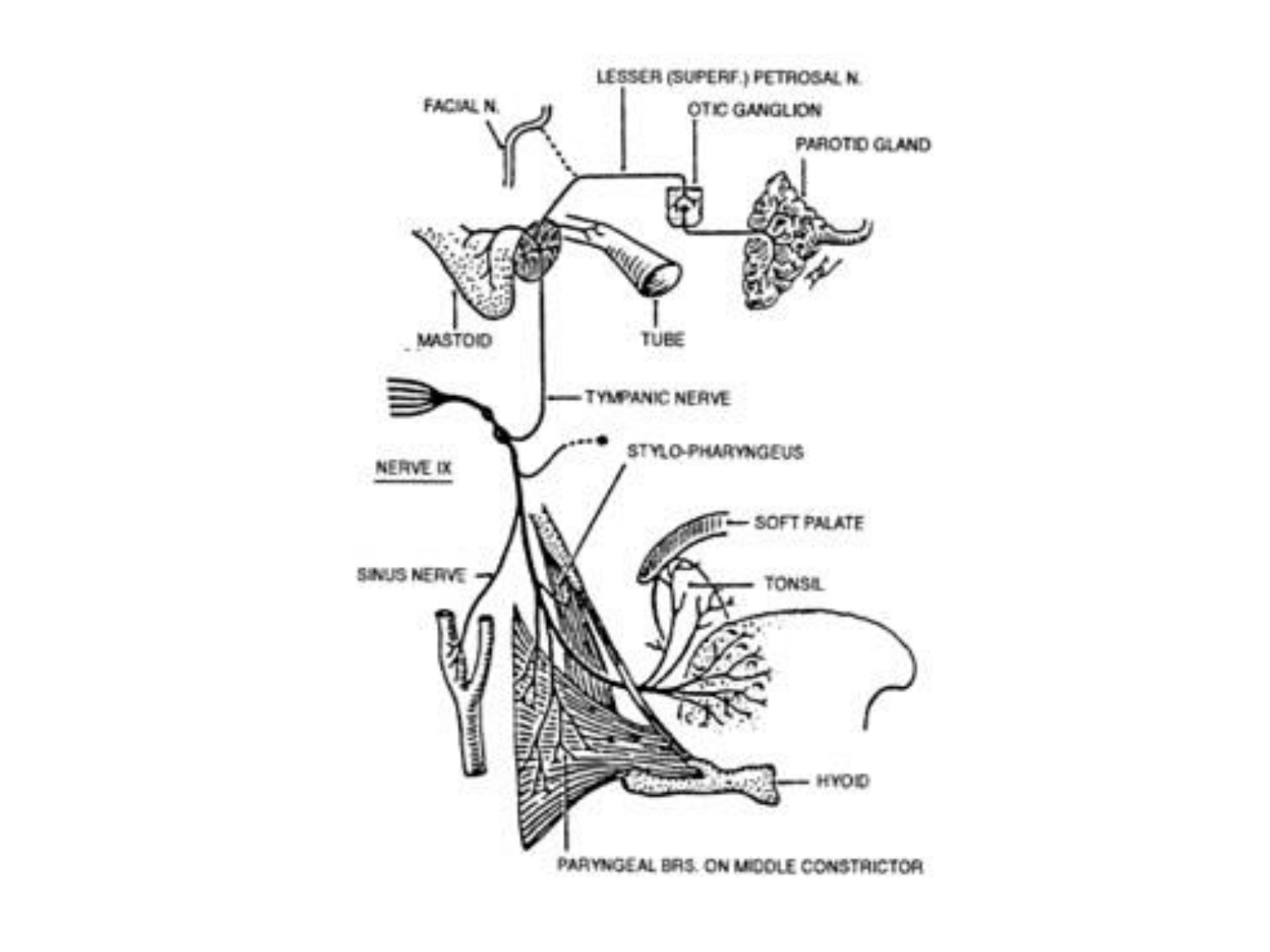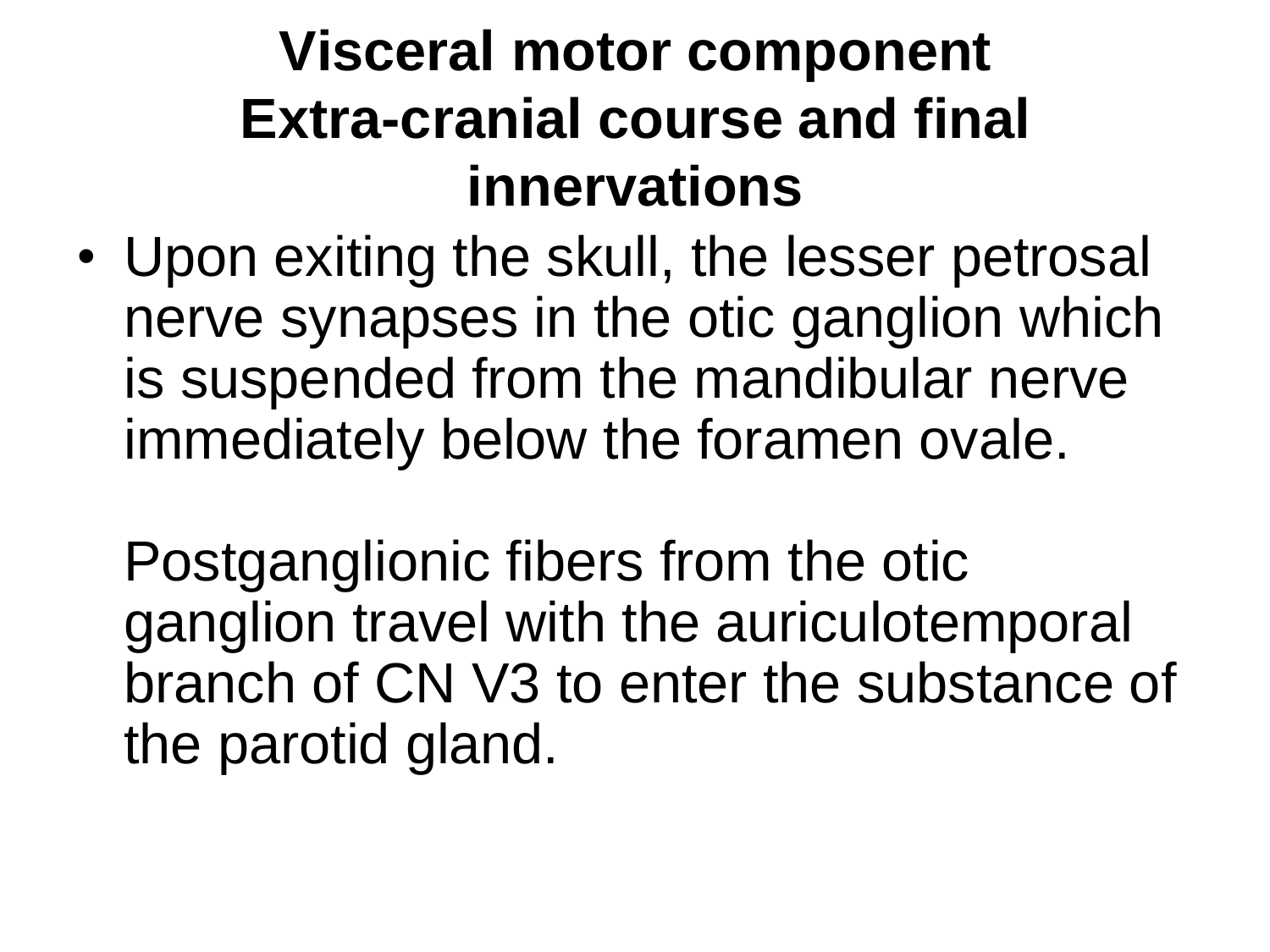#### **Visceral motor component Extra-cranial course and final innervations**

• Upon exiting the skull, the lesser petrosal nerve synapses in the otic ganglion which is suspended from the mandibular nerve immediately below the foramen ovale.

Postganglionic fibers from the otic ganglion travel with the auriculotemporal branch of CN V3 to enter the substance of the parotid gland.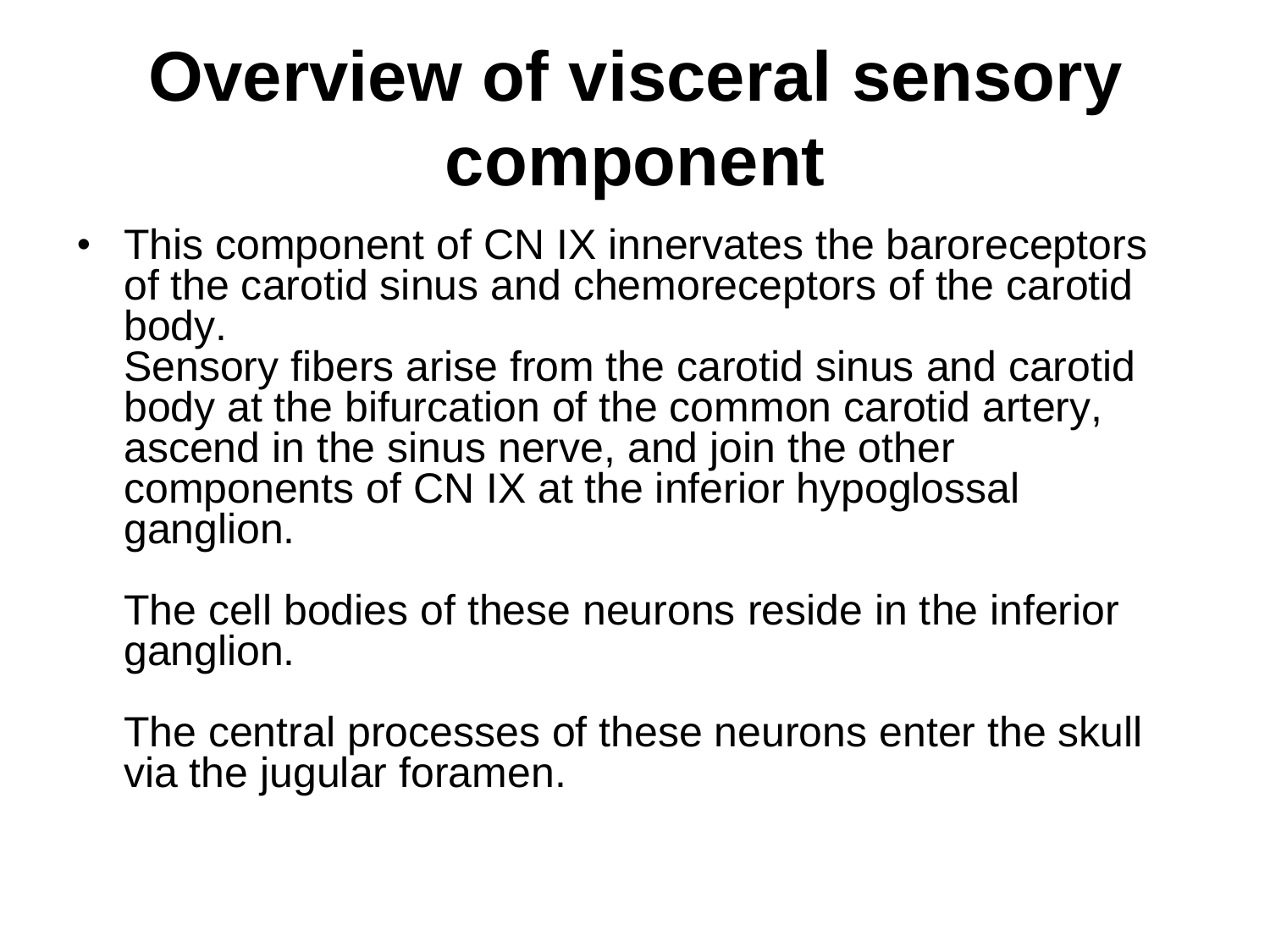# **Overview of visceral sensory component**

• This component of CN IX innervates the baroreceptors of the carotid sinus and chemoreceptors of the carotid body.

Sensory fibers arise from the carotid sinus and carotid body at the bifurcation of the common carotid artery, ascend in the sinus nerve, and join the other components of CN IX at the inferior hypoglossal ganglion.

The cell bodies of these neurons reside in the inferior ganglion.

The central processes of these neurons enter the skull via the jugular foramen.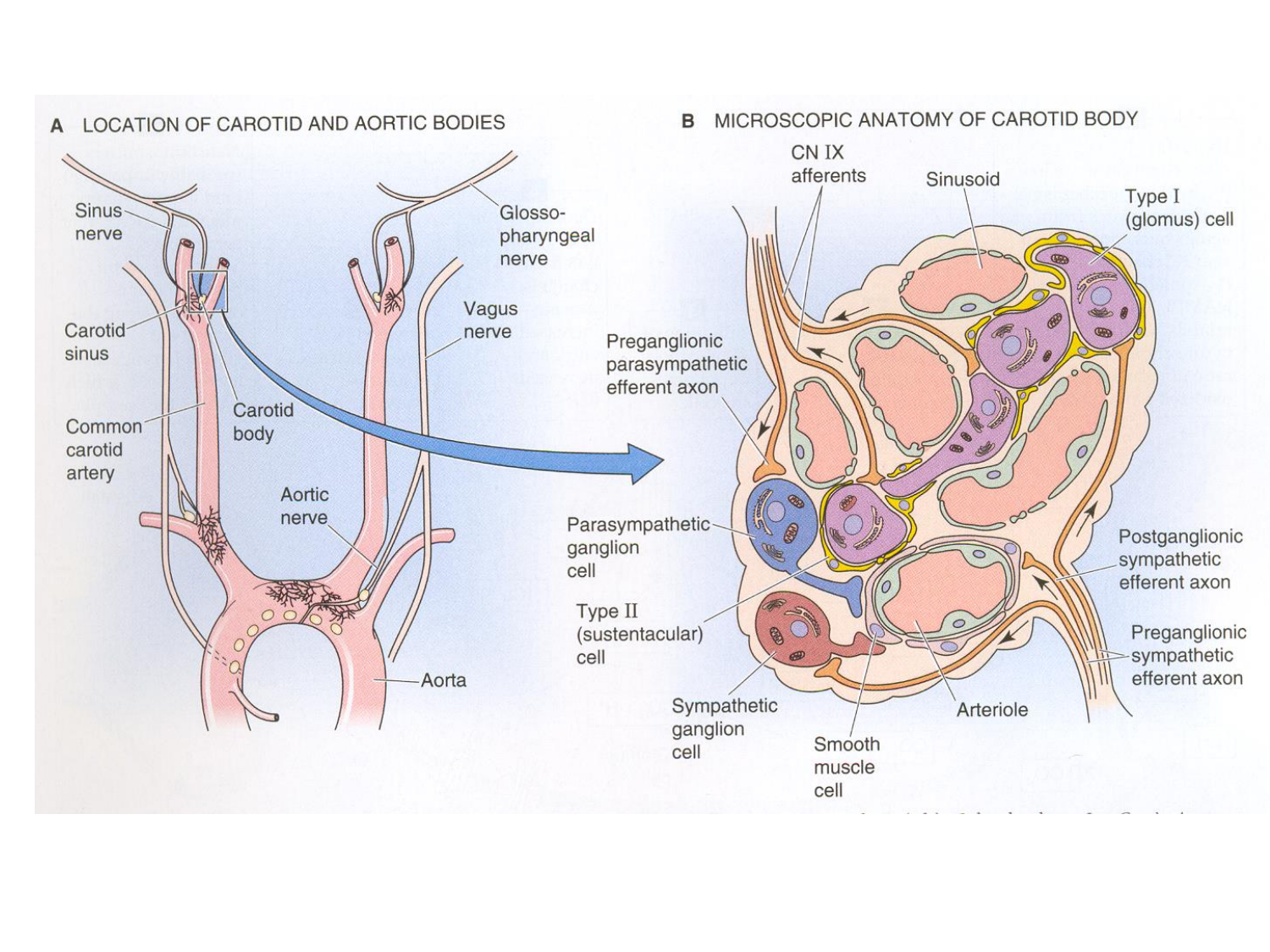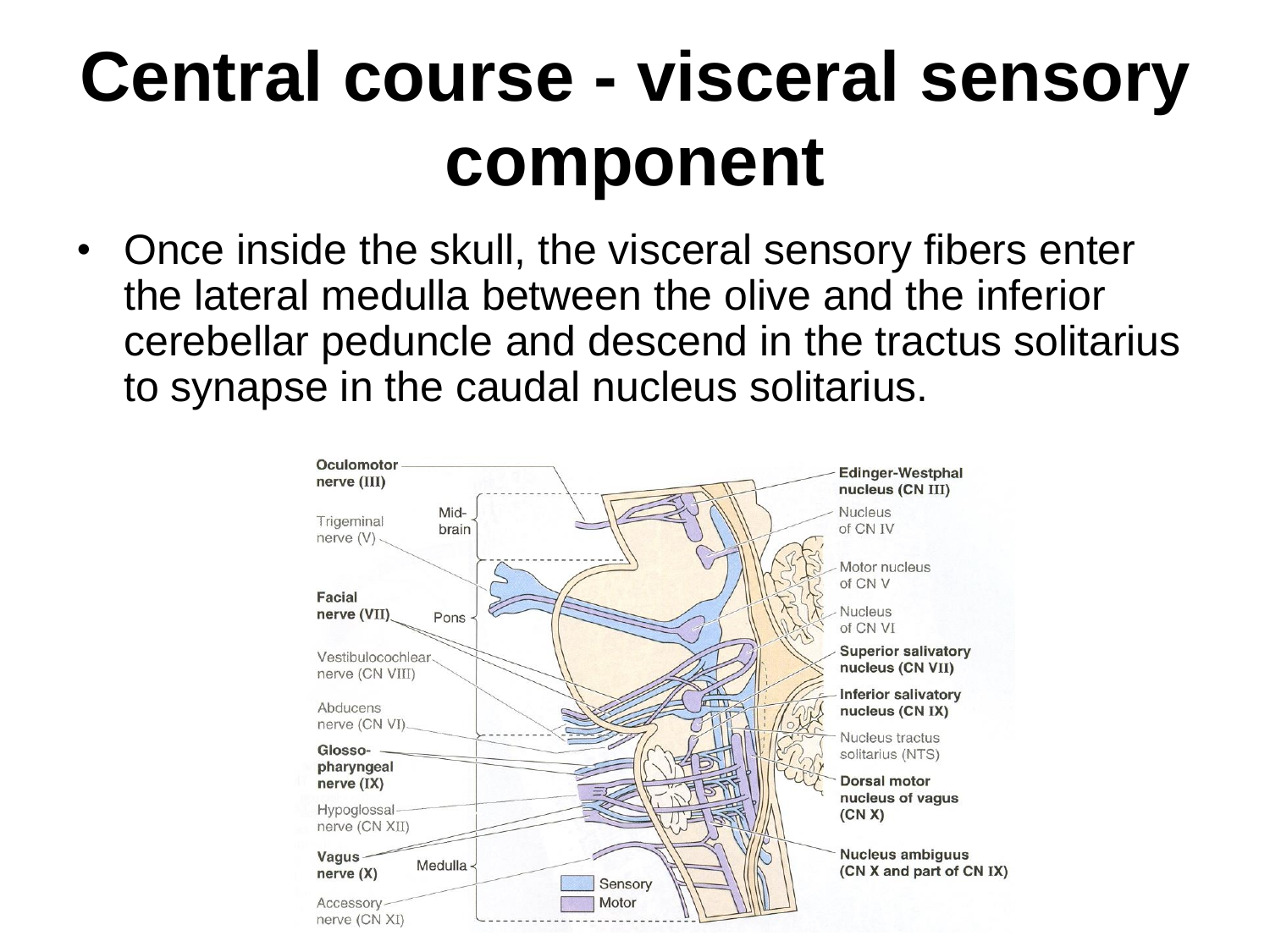### **Central course - visceral sensory component**

• Once inside the skull, the visceral sensory fibers enter the lateral medulla between the olive and the inferior cerebellar peduncle and descend in the tractus solitarius to synapse in the caudal nucleus solitarius.

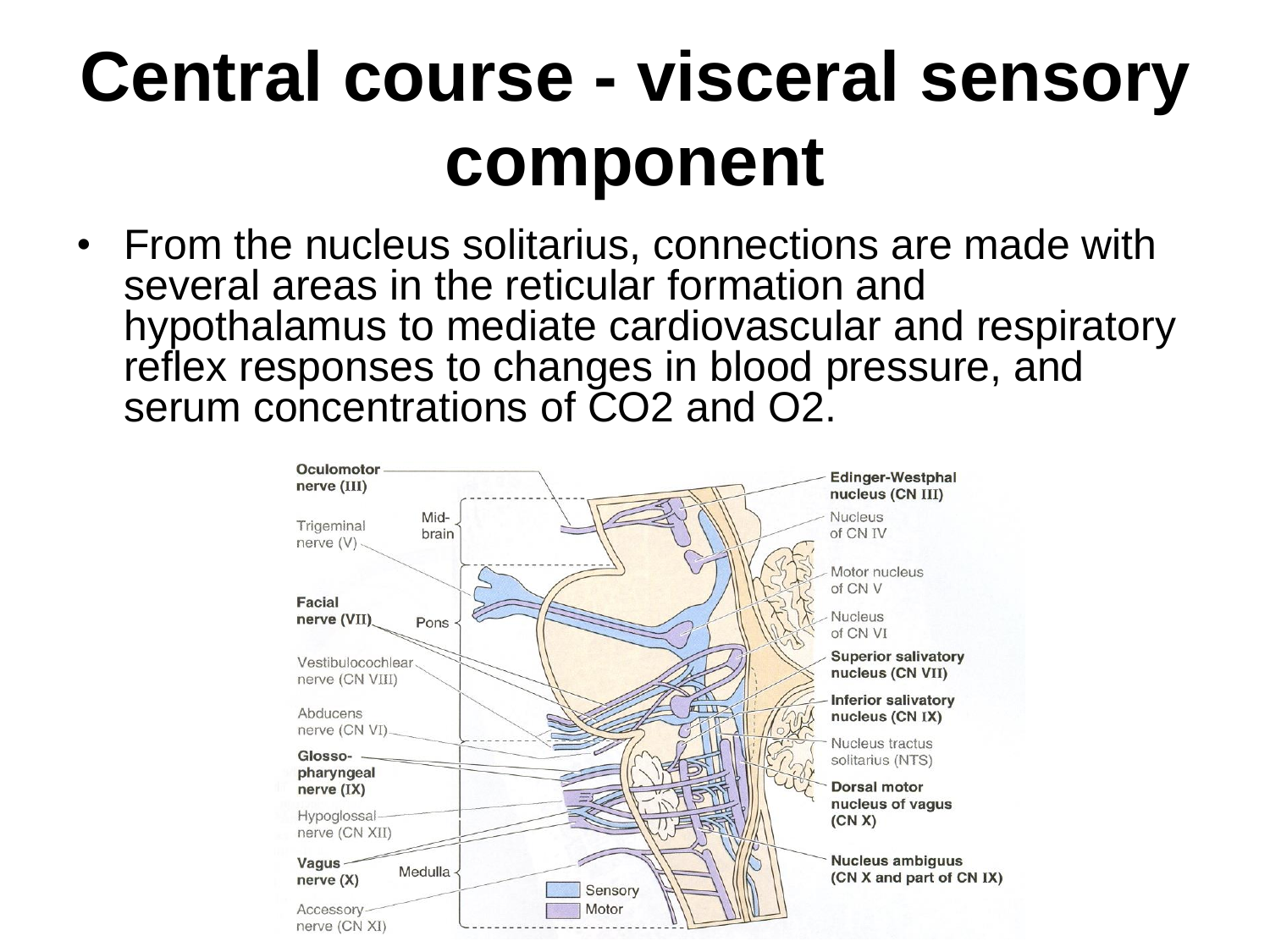### **Central course - visceral sensory component**

• From the nucleus solitarius, connections are made with several areas in the reticular formation and hypothalamus to mediate cardiovascular and respiratory reflex responses to changes in blood pressure, and serum concentrations of CO2 and O2.

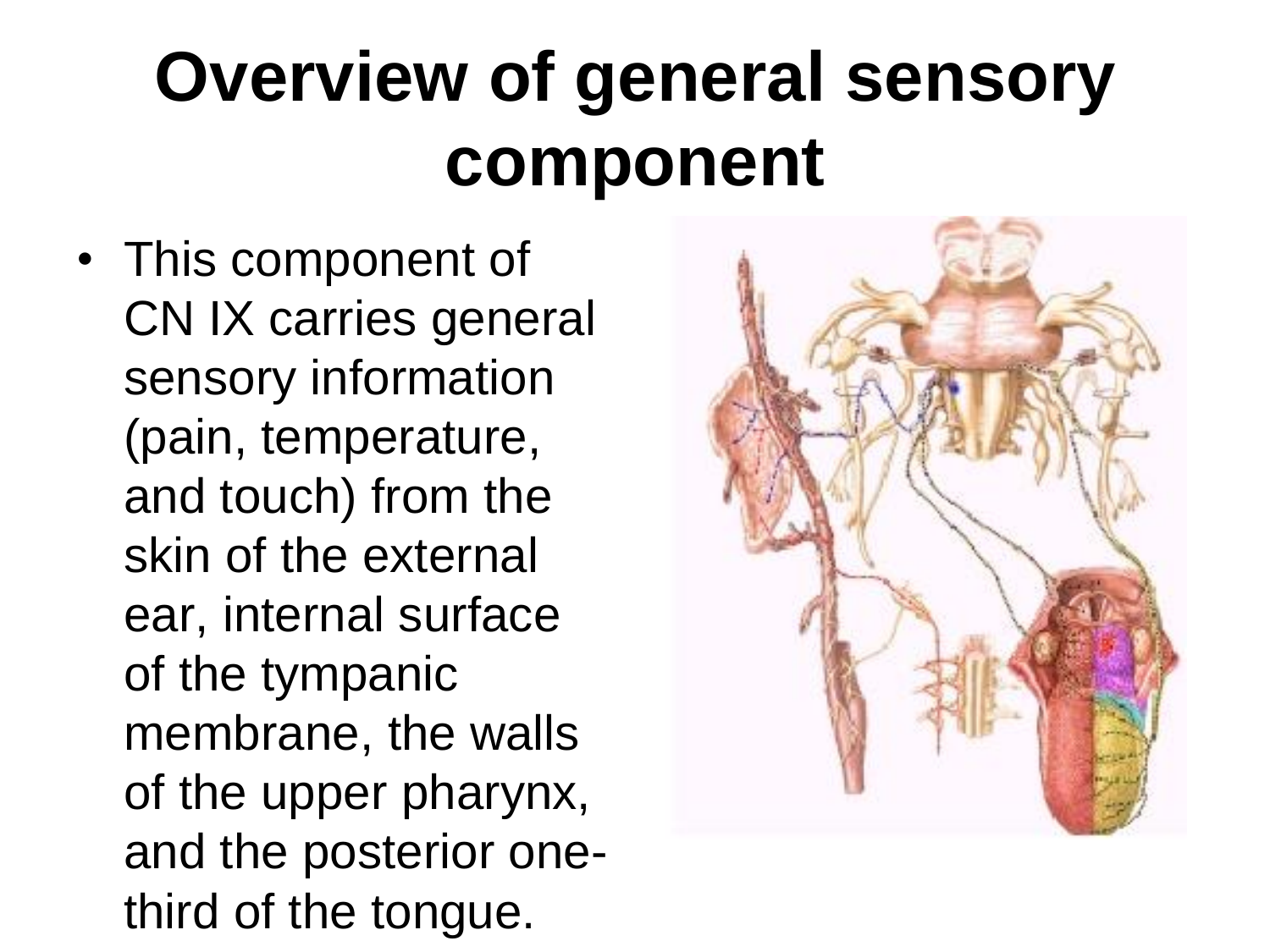## **Overview of general sensory component**

• This component of CN IX carries general sensory information (pain, temperature, and touch) from the skin of the external ear, internal surface of the tympanic membrane, the walls of the upper pharynx, and the posterior onethird of the tongue.

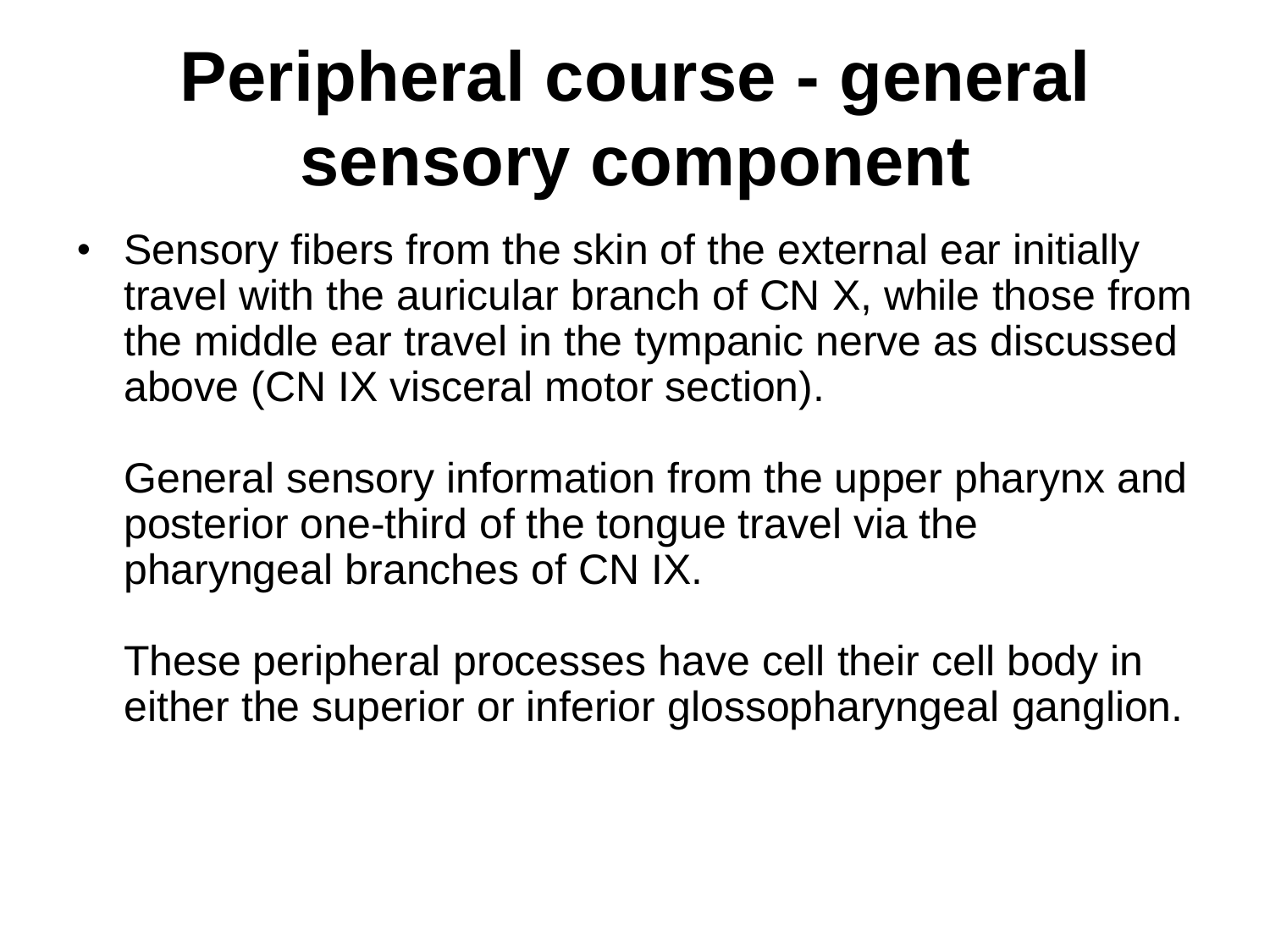## **Peripheral course - general sensory component**

• Sensory fibers from the skin of the external ear initially travel with the auricular branch of CN X, while those from the middle ear travel in the tympanic nerve as discussed above (CN IX visceral motor section).

General sensory information from the upper pharynx and posterior one-third of the tongue travel via the pharyngeal branches of CN IX.

These peripheral processes have cell their cell body in either the superior or inferior glossopharyngeal ganglion.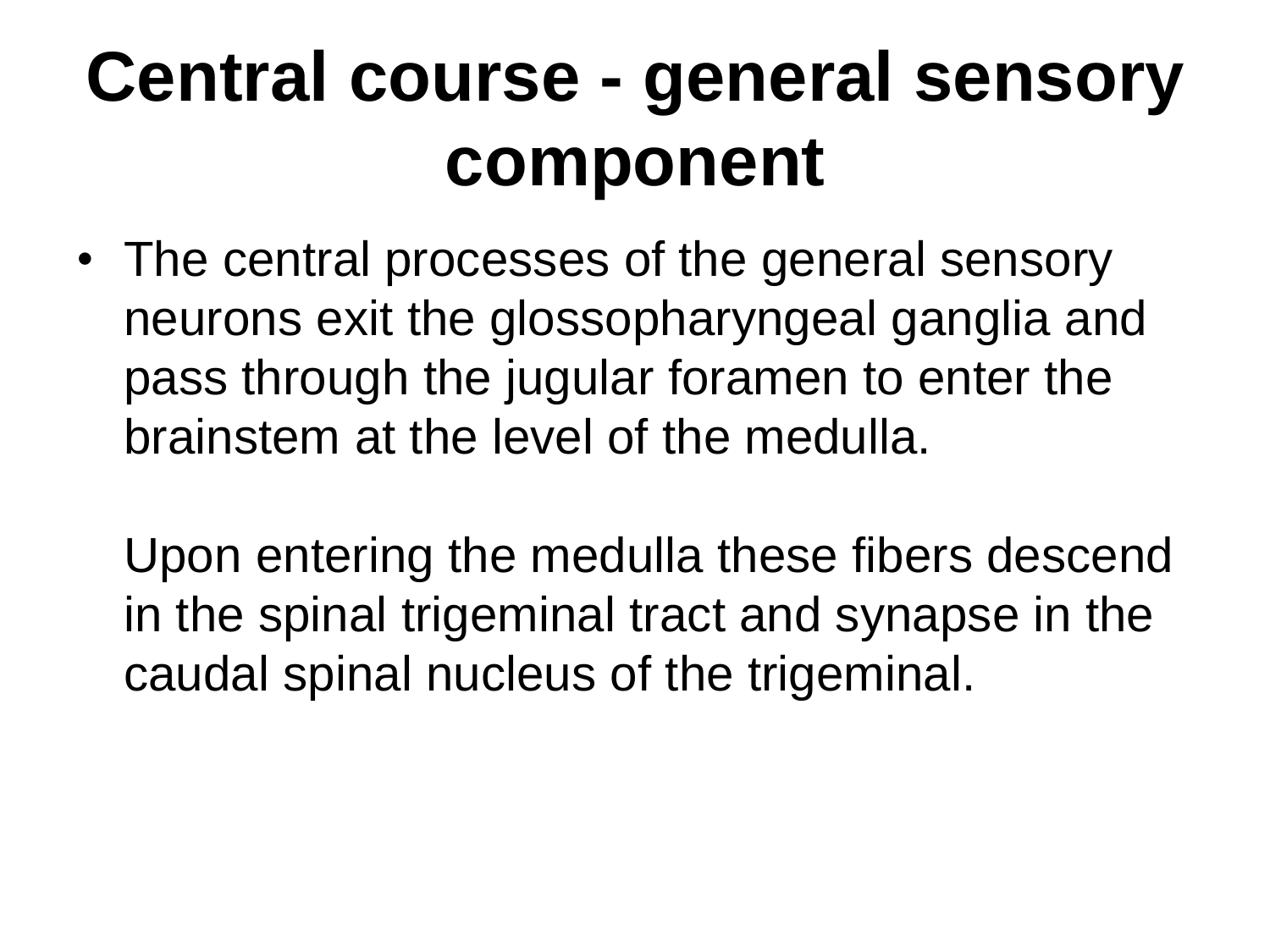### **Central course - general sensory component**

• The central processes of the general sensory neurons exit the glossopharyngeal ganglia and pass through the jugular foramen to enter the brainstem at the level of the medulla.

Upon entering the medulla these fibers descend in the spinal trigeminal tract and synapse in the caudal spinal nucleus of the trigeminal.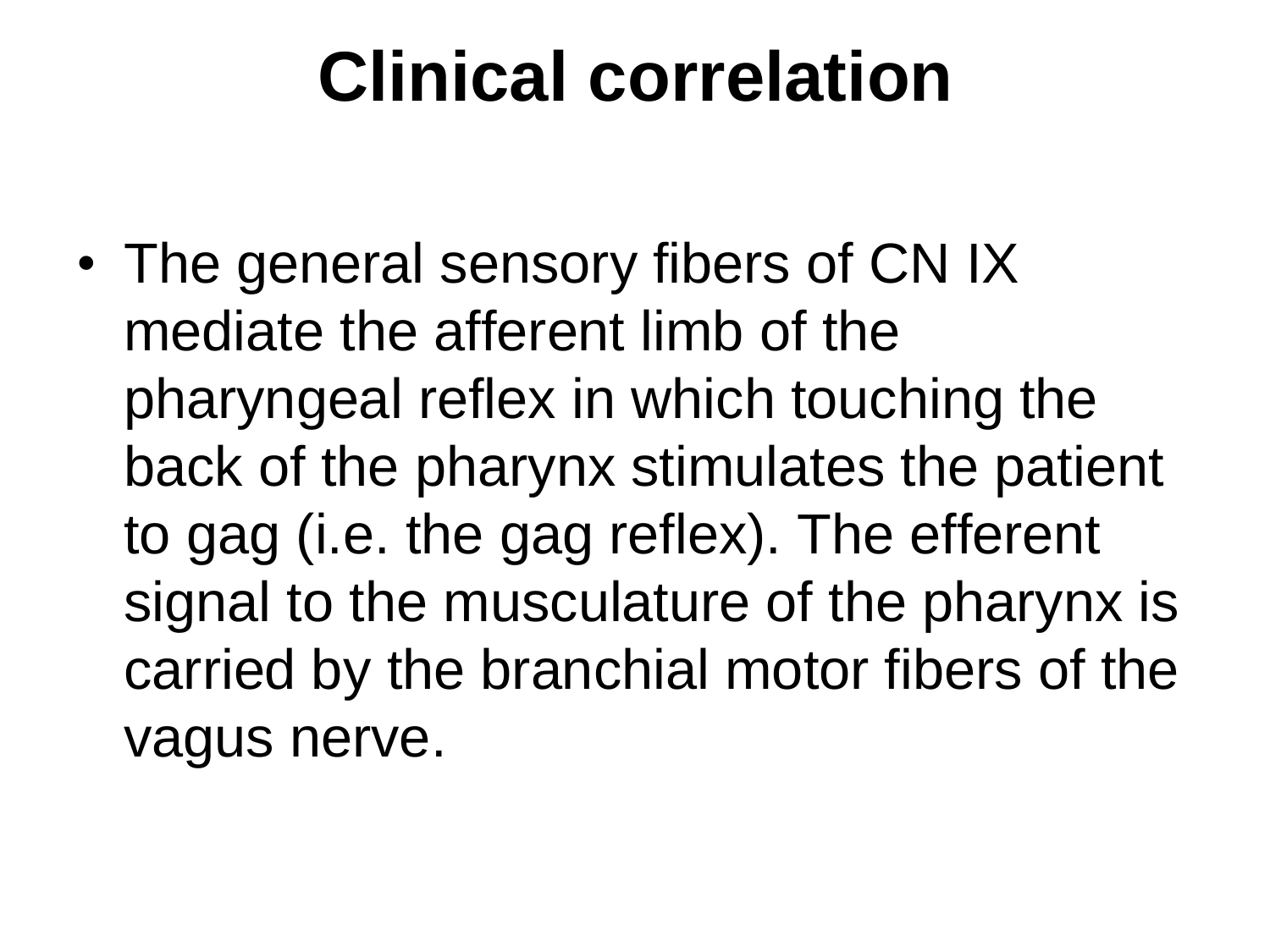### **Clinical correlation**

• The general sensory fibers of CN IX mediate the afferent limb of the pharyngeal reflex in which touching the back of the pharynx stimulates the patient to gag (i.e. the gag reflex). The efferent signal to the musculature of the pharynx is carried by the branchial motor fibers of the vagus nerve.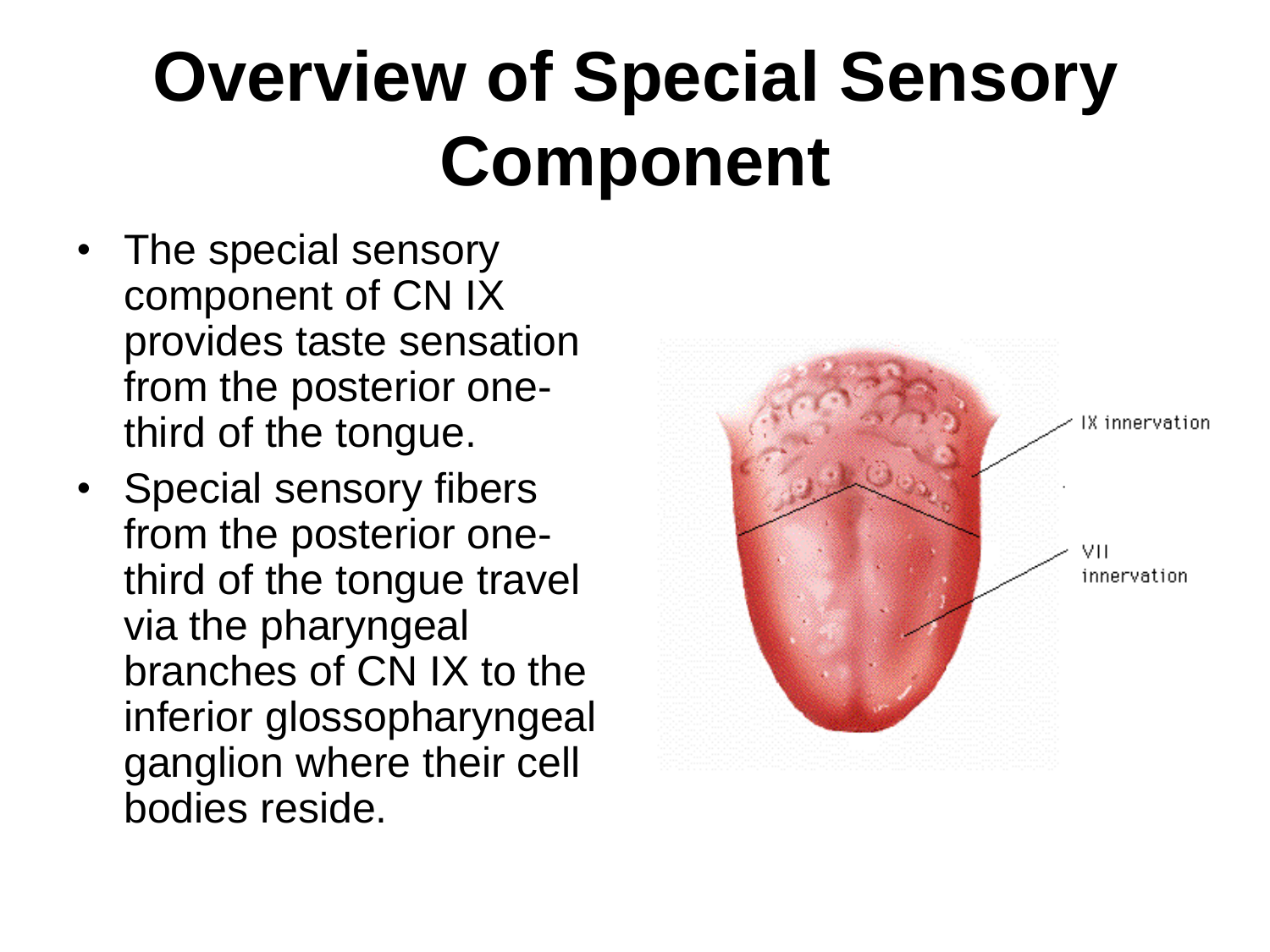# **Overview of Special Sensory Component**

- The special sensory component of CN IX provides taste sensation from the posterior onethird of the tongue.
- Special sensory fibers from the posterior onethird of the tongue travel via the pharyngeal branches of CN IX to the inferior glossopharyngeal ganglion where their cell bodies reside.